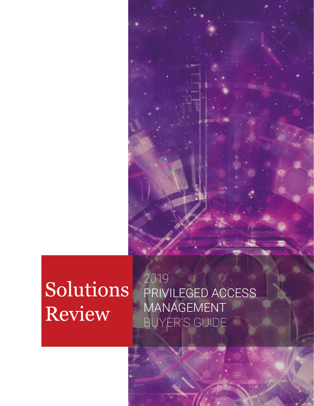

PRIVILEGED ACCESS MANAGEMENT BUYER'S GUIDE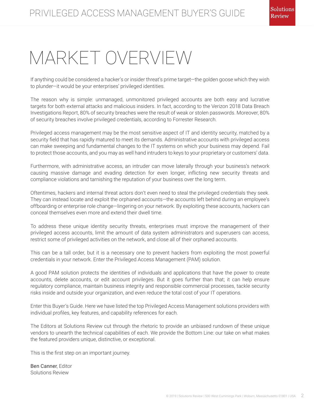# MARKET OVERVIEW

If anything could be considered a hacker's or insider threat's prime target—the golden goose which they wish to plunder—it would be your enterprises' privileged identities.

The reason why is simple: unmanaged, unmonitored privileged accounts are both easy and lucrative targets for both external attacks and malicious insiders. In fact, according to the Verizon 2018 Data Breach Investigations Report, 80% of security breaches were the result of weak or stolen passwords. Moreover, 80% of security breaches involve privileged credentials, according to Forrester Research.

Privileged access management may be the most sensitive aspect of IT and identity security, matched by a security field that has rapidly matured to meet its demands. Administrative accounts with privileged access can make sweeping and fundamental changes to the IT systems on which your business may depend. Fail to protect those accounts, and you may as well hand intruders to keys to your proprietary or customers' data.

Furthermore, with administrative access, an intruder can move laterally through your business's network causing massive damage and evading detection for even longer, inflicting new security threats and compliance violations and tarnishing the reputation of your business over the long term.

Oftentimes, hackers and internal threat actors don't even need to steal the privileged credentials they seek. They can instead locate and exploit the orphaned accounts—the accounts left behind during an employee's offboarding or enterprise role change—lingering on your network. By exploiting these accounts, hackers can conceal themselves even more and extend their dwell time.

To address these unique identity security threats, enterprises must improve the management of their privileged access accounts, limit the amount of data system administrators and superusers can access, restrict some of privileged activities on the network, and close all of their orphaned accounts.

This can be a tall order, but it is a necessary one to prevent hackers from exploiting the most powerful credentials in your network. Enter the Privileged Access Management (PAM) solution.

A good PAM solution protects the identities of individuals and applications that have the power to create accounts, delete accounts, or edit account privileges. But it goes further than that; it can help ensure regulatory compliance, maintain business integrity and responsible commercial processes, tackle security risks inside and outside your organization, and even reduce the total cost of your IT operations.

Enter this Buyer's Guide. Here we have listed the top Privileged Access Management solutions providers with individual profiles, key features, and capability references for each.

The Editors at Solutions Review cut through the rhetoric to provide an unbiased rundown of these unique vendors to unearth the technical capabilities of each. We provide the Bottom Line: our take on what makes the featured providers unique, distinctive, or exceptional.

This is the first step on an important journey.

Ben Canner, Editor Solutions Review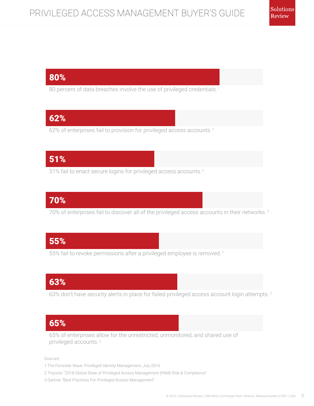# 80%

80 percent of data breaches involve the use of privileged credentials.<sup>1</sup>

# 62%

62% of enterprises fail to provision for privileged access accounts.<sup>2</sup>

# 51%

51% fail to enact secure logins for privileged access accounts.<sup>2</sup>

# 70%

70% of enterprises fail to discover all of the privileged access accounts in their networks.<sup>2</sup>

# 55%

55% fail to revoke permissions after a privileged employee is removed.<sup>2</sup>

# 63%

63% don't have security alerts in place for failed privileged access account login attempts.<sup>2</sup>

# 65%

65% of enterprises allow for the unrestricted, unmonitored, and shared use of privileged accounts. 3

Sources:

- 1 The Forrester Wave: Privileged Identity Management, July 2016
- 2 Thycotic "2018 Global State of Privileged Access Management (PAM) Risk & Compliance"
- 3 Gartner "Best Practices For Privileged Access Management"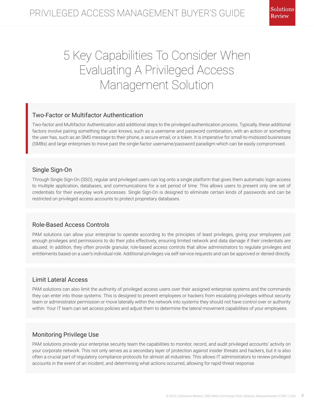# 5 Key Capabilities To Consider When Evaluating A Privileged Access Management Solution

#### Two-Factor or Multifactor Authentication

Two-factor and Multifactor Authentication add additional steps to the privileged authentication process. Typically, these additional factors involve pairing something the user knows, such as a username and password combination, with an action or something the user has, such as an SMS message to their phone, a secure email, or a token. It is imperative for small-to-midsized businesses (SMBs) and large enterprises to move past the single-factor username/password paradigm which can be easily compromised.

#### Single Sign-On

Through Single Sign-On (SSO), regular and privileged users can log onto a single platform that gives them automatic login access to multiple application, databases, and communications for a set period of time. This allows users to present only one set of credentials for their everyday work processes. Single Sign-On is designed to eliminate certain kinds of passwords and can be restricted on privileged access accounts to protect proprietary databases.

#### Role-Based Access Controls

PAM solutions can allow your enterprise to operate according to the principles of least privileges, giving your employees just enough privileges and permissions to do their jobs effectively, ensuring limited network and data damage if their credentials are abused. In addition, they often provide granular, role-based access controls that allow administrators to regulate privileges and entitlements based on a user's individual role. Additional privileges via self-service requests and can be approved or denied directly.

#### Limit Lateral Access

PAM solutions can also limit the authority of privileged access users over their assigned enterprise systems and the commands they can enter into those systems. This is designed to prevent employees or hackers from escalating privileges without security team or administrator permission or move laterally within the network into systems they should not have control over or authority within. Your IT team can set access policies and adjust them to determine the lateral movement capabilities of your employees.

#### Monitoring Privilege Use

PAM solutions provide your enterprise security team the capabilities to monitor, record, and audit privileged accounts' activity on your corporate network. This not only serves as a secondary layer of protection against insider threats and hackers, but it is also often a crucial part of regulatory compliance protocols for almost all industries. This allows IT administrators to review privileged accounts in the event of an incident, and determining what actions occurred, allowing for rapid threat response.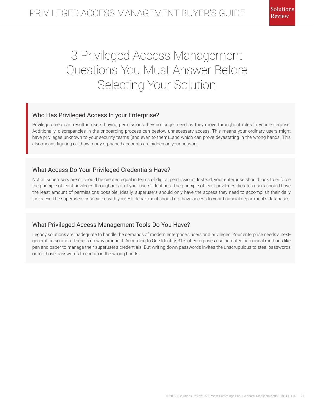# 3 Privileged Access Management Questions You Must Answer Before Selecting Your Solution

#### Who Has Privileged Access In your Enterprise?

Privilege creep can result in users having permissions they no longer need as they move throughout roles in your enterprise. Additionally, discrepancies in the onboarding process can bestow unnecessary access. This means your ordinary users might have privileges unknown to your security teams (and even to them)…and which can prove devastating in the wrong hands. This also means figuring out how many orphaned accounts are hidden on your network.

#### What Access Do Your Privileged Credentials Have?

Not all superusers are or should be created equal in terms of digital permissions. Instead, your enterprise should look to enforce the principle of least privileges throughout all of your users' identities. The principle of least privileges dictates users should have the least amount of permissions possible. Ideally, superusers should only have the access they need to accomplish their daily tasks. Ex. The superusers associated with your HR department should not have access to your financial department's databases.

#### What Privileged Access Management Tools Do You Have?

Legacy solutions are inadequate to handle the demands of modern enterprise's users and privileges. Your enterprise needs a nextgeneration solution. There is no way around it. According to One Identity, 31% of enterprises use outdated or manual methods like pen and paper to manage their superuser's credentials. But writing down passwords invites the unscrupulous to steal passwords or for those passwords to end up in the wrong hands.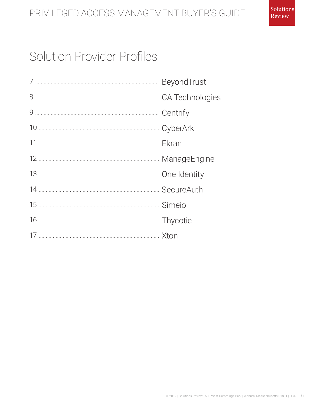# Solution Provider Profiles

| <b>BeyondTrust</b> |
|--------------------|
| CA Technologies    |
| Centrify           |
|                    |
|                    |
| ManageEngine       |
|                    |
| SecureAuth         |
| Simeio             |
|                    |
|                    |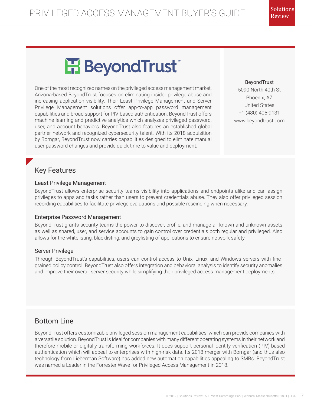# H BeyondTrust

One of the most recognized names on the privileged access management market, Arizona-based BeyondTrust focuses on eliminating insider privilege abuse and increasing application visibility. Their Least Privilege Management and Server Privilege Management solutions offer app-to-app password management capabilities and broad support for PIV-based authentication. BeyondTrust offers machine learning and predictive analytics which analyzes privileged password, user, and account behaviors. BeyondTrust also features an established global partner network and recognized cybersecurity talent. With its 2018 acquisition by Bomgar, BeyondTrust now carries capabilities designed to eliminate manual user password changes and provide quick time to value and deployment.

BeyondTrust 5090 North 40th St Phoenix, AZ United States +1 (480) 405-9131 www.beyondtrust.com

# Key Features

#### Least Privilege Management

BeyondTrust allows enterprise security teams visibility into applications and endpoints alike and can assign privileges to apps and tasks rather than users to prevent credentials abuse. They also offer privileged session recording capabilities to facilitate privilege evaluations and possible rescinding when necessary.

#### Enterprise Password Management

BeyondTrust grants security teams the power to discover, profile, and manage all known and unknown assets as well as shared, user, and service accounts to gain control over credentials both regular and privileged. Also allows for the whitelisting, blacklisting, and greylisting of applications to ensure network safety.

#### Server Privilege

Through BeyondTrust's capabilities, users can control access to Unix, Linux, and Windows servers with finegrained policy control. BeyondTrust also offers integration and behavioral analysis to identify security anomalies and improve their overall server security while simplifying their privileged access management deployments.

# Bottom Line

BeyondTrust offers customizable privileged session management capabilities, which can provide companies with a versatile solution. BeyondTrust is ideal for companies with many different operating systems in their network and therefore mobile or digitally transforming workforces. It does support personal identity verification (PIV)-based authentication which will appeal to enterprises with high-risk data. Its 2018 merger with Bomgar (and thus also technology from Lieberman Software) has added new automation capabilities appealing to SMBs. BeyondTrust was named a Leader in the Forrester Wave for Privileged Access Management in 2018.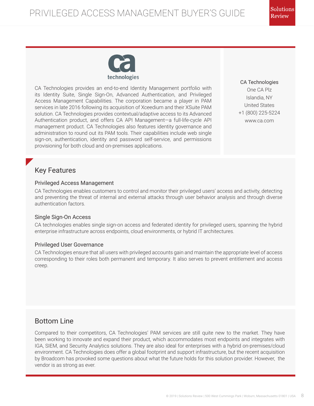

CA Technologies provides an end-to-end Identity Management portfolio with its Identity Suite, Single Sign-On, Advanced Authentication, and Privileged Access Management Capabilities. The corporation became a player in PAM services in late 2016 following its acquisition of Xceedium and their XSuite PAM solution. CA Technologies provides contextual/adaptive access to its Advanced Authentication product, and offers CA API Management—a full-life-cycle API management product. CA Technologies also features identity governance and administration to round out its PAM tools. Their capabilities include web single sign-on, authentication, identity and password self-service, and permissions provisioning for both cloud and on-premises applications.

CA Technologies One CA Plz Islandia, NY United States +1 (800) 225-5224 www.ca.com

# Key Features

#### Privileged Access Management

CA Technologies enables customers to control and monitor their privileged users' access and activity, detecting and preventing the threat of internal and external attacks through user behavior analysis and through diverse authentication factors.

#### Single Sign-On Access

CA technologies enables single sign-on access and federated identity for privileged users, spanning the hybrid enterprise infrastructure across endpoints, cloud environments, or hybrid IT architectures.

#### Privileged User Governance

CA Technologies ensure that all users with privileged accounts gain and maintain the appropriate level of access corresponding to their roles both permanent and temporary. It also serves to prevent entitlement and access creep.

## Bottom Line

Compared to their competitors, CA Technologies' PAM services are still quite new to the market. They have been working to innovate and expand their product, which accommodates most endpoints and integrates with IGA, SIEM, and Security Analytics solutions. They are also ideal for enterprises with a hybrid on-premises/cloud environment. CA Technologies does offer a global footprint and support infrastructure, but the recent acquisition by Broadcom has provoked some questions about what the future holds for this solution provider. However, the vendor is as strong as ever.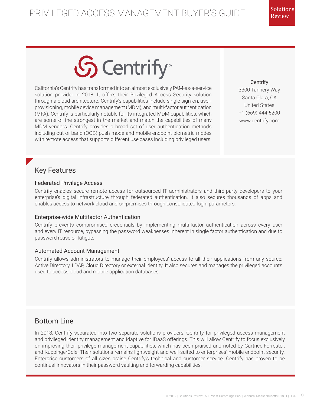# **S** Centrify

California's Centrify has transformed into an almost exclusively PAM-as-a-service solution provider in 2018. It offers their Privileged Access Security solution through a cloud architecture. Centrify's capabilities include single sign-on, userprovisioning, mobile device management (MDM), and multi-factor authentication (MFA). Centrify is particularly notable for its integrated MDM capabilities, which are some of the strongest in the market and match the capabilities of many MDM vendors. Centrify provides a broad set of user authentication methods including out of band (OOB) push mode and mobile endpoint biometric modes with remote access that supports different use cases including privileged users.

**Centrify** 3300 Tannery Way Santa Clara, CA United States +1 (669) 444-5200 www.centrify.com

# Key Features

#### Federated Privilege Access

Centrify enables secure remote access for outsourced IT administrators and third-party developers to your enterprise's digital infrastructure through federated authentication. It also secures thousands of apps and enables access to network cloud and on-premises through consolidated login parameters.

#### Enterprise-wide Multifactor Authentication

Centrify prevents compromised credentials by implementing multi-factor authentication across every user and every IT resource, bypassing the password weaknesses inherent in single factor authentication and due to password reuse or fatigue.

#### Automated Account Management

Centrify allows administrators to manage their employees' access to all their applications from any source: Active Directory, LDAP, Cloud Directory or external identity. It also secures and manages the privileged accounts used to access cloud and mobile application databases.

# Bottom Line

In 2018, Centrify separated into two separate solutions providers: Centrify for privileged access management and privileged identity management and Idaptive for IDaaS offerings. This will allow Centrify to focus exclusively on improving their privilege management capabilities, which has been praised and noted by Gartner, Forrester, and KuppingerCole. Their solutions remains lightweight and well-suited to enterprises' mobile endpoint security. Enterprise customers of all sizes praise Centrify's technical and customer service. Centrify has proven to be continual innovators in their password vaulting and forwarding capabilities.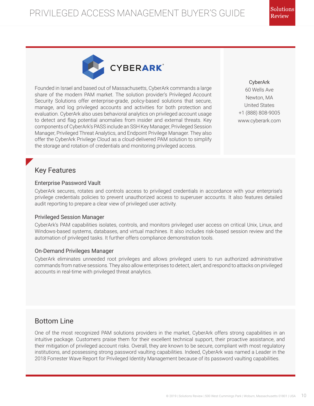

Founded in Israel and based out of Massachusetts, CyberArk commands a large share of the modern PAM market. The solution provider's Privileged Account Security Solutions offer enterprise-grade, policy-based solutions that secure, manage, and log privileged accounts and activities for both protection and evaluation. CyberArk also uses behavioral analytics on privileged account usage to detect and flag potential anomalies from insider and external threats. Key components of CyberArk's PASS include an SSH Key Manager, Privileged Session Manager, Privileged Threat Analytics, and Endpoint Privilege Manager. They also offer the CyberArk Privilege Cloud as a cloud-delivered PAM solution to simplify the storage and rotation of credentials and monitoring privileged access.

CyberArk 60 Wells Ave Newton, MA United States +1 (888) 808-9005 www.cyberark.com

## Key Features

#### Enterprise Password Vault

CyberArk secures, rotates and controls access to privileged credentials in accordance with your enterprise's privilege credentials policies to prevent unauthorized access to superuser accounts. It also features detailed audit reporting to prepare a clear view of privileged user activity.

#### Privileged Session Manager

CyberArk's PAM capabilities isolates, controls, and monitors privileged user access on critical Unix, Linux, and Windows-based systems, databases, and virtual machines. It also includes risk-based session review and the automation of privileged tasks. It further offers compliance demonstration tools.

#### On-Demand Privileges Manager

CyberArk eliminates unneeded root privileges and allows privileged users to run authorized administrative commands from native sessions. They also allow enterprises to detect, alert, and respond to attacks on privileged accounts in real-time with privileged threat analytics.

# Bottom Line

One of the most recognized PAM solutions providers in the market, CyberArk offers strong capabilities in an intuitive package. Customers praise them for their excellent technical support, their proactive assistance, and their mitigation of privileged account risks. Overall, they are known to be secure, compliant with most regulatory institutions, and possessing strong password vaulting capabilities. Indeed, CyberArk was named a Leader in the 2018 Forrester Wave Report for Privileged Identity Management because of its password vaulting capabilities.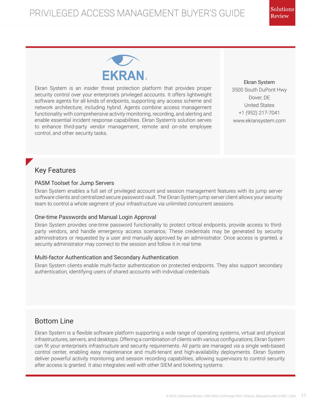

Ekran System is an insider threat protection platform that provides proper security control over your enterprise's privileged accounts. It offers lightweight software agents for all kinds of endpoints, supporting any access scheme and network architecture, including hybrid. Agents combine access management functionality with comprehensive activity monitoring, recording, and alerting and enable essential incident response capabilities. Ekran System's solution serves to enhance third-party vendor management, remote and on-site employee control, and other security tasks.

Ekran System 3500 South DuPont Hwy Dover, DE United States +1 (952) 217-7041 www.ekransystem.com

# Key Features

#### PASM Toolset for Jump Servers

Ekran System enables a full set of privileged account and session management features with its jump server software clients and centralized secure password vault. The Ekran System jump server client allows your security team to control a whole segment of your infrastructure via unlimited concurrent sessions.

#### One-time Passwords and Manual Login Approval

Ekran System provides one-time password functionality to protect critical endpoints, provide access to thirdparty vendors, and handle emergency access scenarios. These credentials may be generated by security administrators or requested by a user and manually approved by an administrator. Once access is granted, a security administrator may connect to the session and follow it in real time.

#### Multi-factor Authentication and Secondary Authentication

Ekran System clients enable multi-factor authentication on protected endpoints. They also support secondary authentication, identifying users of shared accounts with individual credentials.

# Bottom Line

Ekran System is a flexible software platform supporting a wide range of operating systems, virtual and physical infrastructures, servers, and desktops. Offering a combination of clients with various configurations, Ekran System can fit your enterprise's infrastructure and security requirements. All parts are managed via a single web-based control center, enabling easy maintenance and multi-tenant and high-availability deployments. Ekran System deliver powerful activity monitoring and session recording capabilities, allowing supervisors to control security after access is granted. It also integrates well with other SIEM and ticketing systems.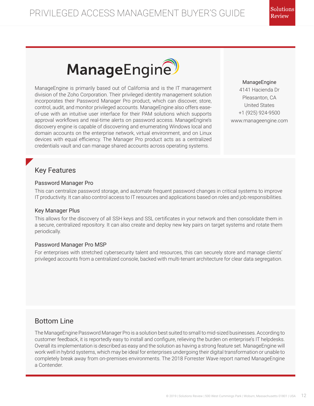

ManageEngine is primarily based out of California and is the IT management division of the Zoho Corporation. Their privileged identity management solution incorporates their Password Manager Pro product, which can discover, store, control, audit, and monitor privileged accounts. ManageEngine also offers easeof-use with an intuitive user interface for their PAM solutions which supports approval workflows and real-time alerts on password access. ManageEngine's discovery engine is capable of discovering and enumerating Windows local and domain accounts on the enterprise network, virtual environment, and on Linux devices with equal efficiency. The Manager Pro product acts as a centralized credentials vault and can manage shared accounts across operating systems.

ManageEngine 4141 Hacienda Dr Pleasanton, CA United States +1 (925) 924-9500 www.manageengine.com

# Key Features

#### Password Manager Pro

This can centralize password storage, and automate frequent password changes in critical systems to improve IT productivity. It can also control access to IT resources and applications based on roles and job responsibilities.

#### Key Manager Plus

This allows for the discovery of all SSH keys and SSL certificates in your network and then consolidate them in a secure, centralized repository. It can also create and deploy new key pairs on target systems and rotate them periodically.

#### Password Manager Pro MSP

For enterprises with stretched cybersecurity talent and resources, this can securely store and manage clients' privileged accounts from a centralized console, backed with multi-tenant architecture for clear data segregation.

# Bottom Line

The ManageEngine Password Manager Pro is a solution best suited to small to mid-sized businesses. According to customer feedback, it is reportedly easy to install and configure, relieving the burden on enterprise's IT helpdesks. Overall its implementation is described as easy and the solution as having a strong feature set. ManageEngine will work well in hybrid systems, which may be ideal for enterprises undergoing their digital transformation or unable to completely break away from on-premises environments. The 2018 Forrester Wave report named ManageEngine a Contender.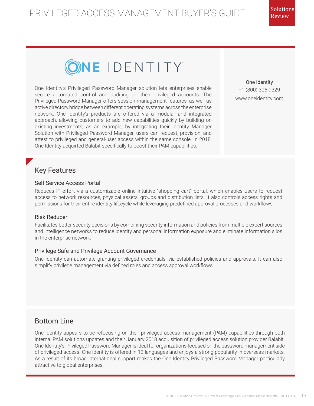

One Identity's Privileged Password Manager solution lets enterprises enable secure automated control and auditing on their privileged accounts. The Privileged Password Manager offers session management features, as well as active directory bridge between different operating systems across the enterprise network. One Identity's products are offered via a modular and integrated approach, allowing customers to add new capabilities quickly by building on existing investments; as an example, by integrating their Identity Manager Solution with Privileged Password Manager, users can request, provision, and attest to privileged and general-user access within the same console. In 2018, One Identity acquirted Balabit specifically to boost their PAM capabilities.

One Identity +1 (800) 306-9329 www.oneidentity.com

## Key Features

#### Self Service Access Portal

Reduces IT effort via a customizable online intuitive "shopping cart" portal, which enables users to request access to network resources, physical assets, groups and distribution lists. It also controls access rights and permissions for their entire identity lifecycle while leveraging predefined approval processes and workflows.

#### Risk Reducer

Facilitates better security decisions by combining security information and policies from multiple expert sources and intelligence networks to reduce identity and personal information exposure and eliminate information silos in the enterprise network.

#### Privilege Safe and Privilege Account Governance

One Identity can automate granting privileged credentials, via established policies and approvals. It can also simplify privilege management via defined roles and access approval workflows.

## Bottom Line

One Identity appears to be refocusing on their privileged access management (PAM) capabilities through both internal PAM solutions updates and their January 2018 acquisition of privileged access solution provider Balabit. One Identity's Privileged Password Manager is ideal for organizations focused on the password management side of privileged access. One Identity is offered in 13 languages and enjoys a strong popularity in overseas markets. As a result of its broad international support makes the One Identity Privileged Password Manager particularly attractive to global enterprises.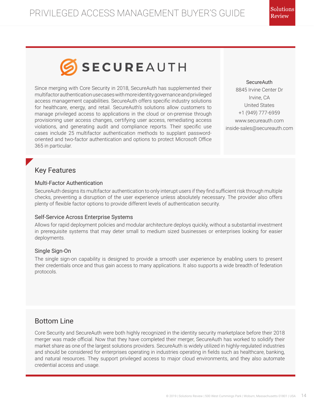

Since merging with Core Security in 2018, SecureAuth has supplemented their multifactor authentication use cases with more identity governance and privileged access management capabilities. SecureAuth offers specific industry solutions for healthcare, energy, and retail. SecureAuth's solutions allow customers to manage privileged access to applications in the cloud or on-premise through provisioning user access changes, certifying user access, remediating access violations, and generating audit and compliance reports. Their specific use cases include 25 multifactor authentication methods to supplant passwordoriented and two-factor authentication and options to protect Microsoft Office 365 in particular.

**SecureAuth** 8845 Irvine Center Dr Irvine, CA United States +1 (949) 777-6959 www.secureauth.com inside-sales@secureauth.com

## Key Features

#### Multi-Factor Authentication

SecureAuth designs its multifactor authentication to only interupt users if they find sufficient risk through multiple checks, preventing a disruption of the user experience unless absolutely necessary. The provider also offers plenty of flexible factor options to provide different levels of authentication security.

#### Self-Service Across Enterprise Systems

Allows for rapid deployment policies and modular architecture deploys quickly, without a substantial investment in prerequisite systems that may deter small to medium sized businesses or enterprises looking for easier deployments.

#### Single Sign-On

The single sign-on capability is designed to provide a smooth user experience by enabling users to present their credentials once and thus gain access to many applications. It also supports a wide breadth of federation protocols.

## Bottom Line

Core Security and SecureAuth were both highly recognized in the identity security marketplace before their 2018 merger was made official. Now that they have completed their merger, SecureAuth has worked to solidify their market share as one of the largest solutions providers. SecureAuth is widely utilized in highly-regulated industries and should be considered for enterprises operating in industries operating in fields such as healthcare, banking, and natural resources. They support privileged access to major cloud environments, and they also automate credential access and usage.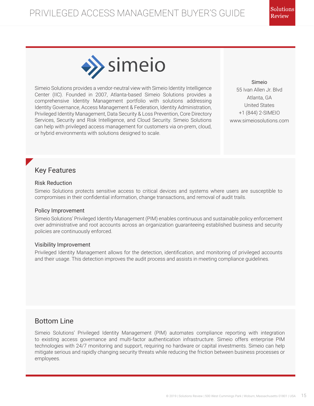

Simeio Solutions provides a vendor-neutral view with Simeio Identity Intelligence Center (IIC). Founded in 2007, Atlanta-based Simeio Solutions provides a comprehensive Identity Management portfolio with solutions addressing Identity Governance, Access Management & Federation, Identity Administration, Privileged Identity Management, Data Security & Loss Prevention, Core Directory Services, Security and Risk Intelligence, and Cloud Security. Simeio Solutions can help with privileged access management for customers via on-prem, cloud, or hybrid environments with solutions designed to scale.

Simeio 55 Ivan Allen Jr. Blvd Atlanta, GA United States +1 (844) 2-SIMEIO www.simeiosolutions.com

# Key Features

#### Risk Reduction

Simeio Solutions protects sensitive access to critical devices and systems where users are susceptible to compromises in their confidential information, change transactions, and removal of audit trails.

#### Policy Improvement

Simeio Solutions' Privileged Identity Management (PIM) enables continuous and sustainable policy enforcement over administrative and root accounts across an organization guaranteeing established business and security policies are continuously enforced.

#### Visibility Improvement

Privileged Identity Management allows for the detection, identification, and monitoring of privileged accounts and their usage. This detection improves the audit process and assists in meeting compliance guidelines.

# Bottom Line

Simeio Solutions' Privileged Identity Management (PIM) automates compliance reporting with integration to existing access governance and multi-factor authentication infrastructure. Simeio offers enterprise PIM technologies with 24/7 monitoring and support, requiring no hardware or capital investments. Simeio can help mitigate serious and rapidly changing security threats while reducing the friction between business processes or employees.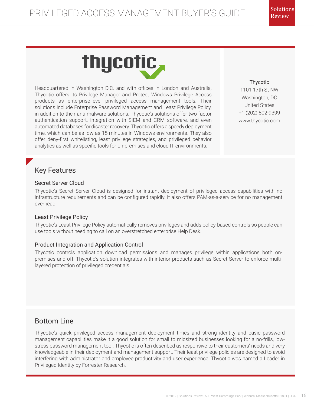# thycotic,

Headquartered in Washington D.C. and with offices in London and Australia, Thycotic offers its Privilege Manager and Protect Windows Privilege Access products as enterprise-level privileged access management tools. Their solutions include Enterprise Password Management and Least Privilege Policy, in addition to their anti-malware solutions. Thycotic's solutions offer two-factor authentication support, integration with SIEM and CRM software, and even automated databases for disaster recovery. Thycotic offers a speedy deployment time, which can be as low as 15 minutes in Windows environments. They also offer deny-first whitelisting, least privilege strategies, and privileged behavior analytics as well as specific tools for on-premises and cloud IT environments.

Thycotic 1101 17th St NW Washington, DC United States +1 (202) 802-9399 www.thycotic.com

# Key Features

#### Secret Server Cloud

Thycotic's Secret Server Cloud is designed for instant deployment of privileged access capabilities with no infrastructure requirements and can be configured rapidly. It also offers PAM-as-a-service for no management overhead.

#### Least Privilege Policy

Thycotic's Least Privilege Policy automatically removes privileges and adds policy-based controls so people can use tools without needing to call on an overstretched enterprise Help Desk.

#### Product Integration and Application Control

Thycotic controls application download permissions and manages privilege within applications both onpremises and off. Thycotic's solution integrates with interior products such as Secret Server to enforce multilayered protection of privileged credentials.

# Bottom Line

Thycotic's quick privileged access management deployment times and strong identity and basic password management capabilities make it a good solution for small to midsized businesses looking for a no-frills, lowstress password management tool. Thycotic is often described as responsive to their customers' needs and very knowledgeable in their deployment and management support. Their least privilege policies are designed to avoid interfering with administrator and employee productivity and user experience. Thycotic was named a Leader in Privileged Identity by Forrester Research.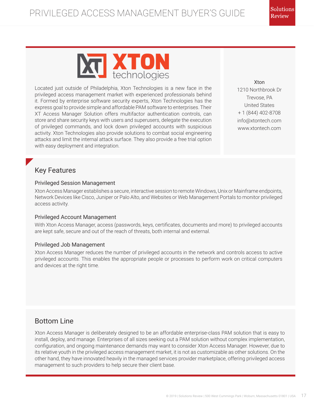

Located just outside of Philadelphia, Xton Technologies is a new face in the privileged access management market with experienced professionals behind it. Formed by enterprise software security experts, Xton Technologies has the express goal to provide simple and affordable PAM software to enterprises. Their XT Access Manager Solution offers multifactor authentication controls, can store and share security keys with users and superusers, delegate the execution of privileged commands, and lock down privileged accounts with suspicious activity. Xton Technologies also provide solutions to combat social engineering attacks and limit the internal attack surface. They also provide a free trial option with easy deployment and integration.

Xton 1210 Northbrook Dr Trevose, PA United States + 1 (844) 402-8708 info@xtontech.com www.xtontech.com

# Key Features

#### Privileged Session Management

Xton Access Manager establishes a secure, interactive session to remote Windows, Unix or Mainframe endpoints, Network Devices like Cisco, Juniper or Palo Alto, and Websites or Web Management Portals to monitor privileged access activity.

#### Privileged Account Management

With Xton Access Manager, access (passwords, keys, certificates, documents and more) to privileged accounts are kept safe, secure and out of the reach of threats, both internal and external.

#### Privileged Job Management

Xton Access Manager reduces the number of privileged accounts in the network and controls access to active privileged accounts. This enables the appropriate people or processes to perform work on critical computers and devices at the right time.

# Bottom Line

Xton Access Manager is deliberately designed to be an affordable enterprise-class PAM solution that is easy to install, deploy, and manage. Enterprises of all sizes seeking out a PAM solution without complex implementation, configuration, and ongoing maintenance demands may want to consider Xton Access Manager. However, due to its relative youth in the privileged access management market, it is not as customizable as other solutions. On the other hand, they have innovated heavily in the managed services provider marketplace, offering privileged access management to such providers to help secure their client base.